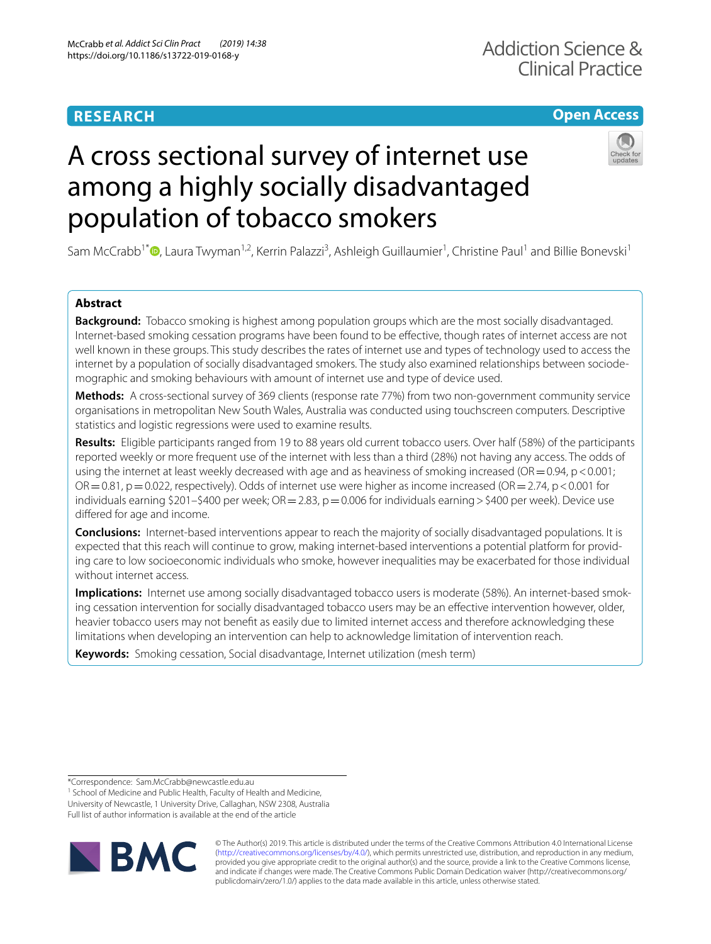# **RESEARCH**

# **Open Access**

# A cross sectional survey of internet use among a highly socially disadvantaged population of tobacco smokers

Sam McCrabb<sup>1\*</sup><sup>®</sup>[,](http://orcid.org/0000-0002-4216-0251) Laura Twyman<sup>1,2</sup>, Kerrin Palazzi<sup>3</sup>, Ashleigh Guillaumier<sup>1</sup>, Christine Paul<sup>1</sup> and Billie Bonevski<sup>1</sup>

## **Abstract**

**Background:** Tobacco smoking is highest among population groups which are the most socially disadvantaged. Internet-based smoking cessation programs have been found to be efective, though rates of internet access are not well known in these groups. This study describes the rates of internet use and types of technology used to access the internet by a population of socially disadvantaged smokers. The study also examined relationships between sociodemographic and smoking behaviours with amount of internet use and type of device used.

**Methods:** A cross-sectional survey of 369 clients (response rate 77%) from two non-government community service organisations in metropolitan New South Wales, Australia was conducted using touchscreen computers. Descriptive statistics and logistic regressions were used to examine results.

**Results:** Eligible participants ranged from 19 to 88 years old current tobacco users. Over half (58%) of the participants reported weekly or more frequent use of the internet with less than a third (28%) not having any access. The odds of using the internet at least weekly decreased with age and as heaviness of smoking increased (OR  $=$  0.94, p < 0.001;  $OR = 0.81$ ,  $p = 0.022$ , respectively). Odds of internet use were higher as income increased (OR = 2.74, p < 0.001 for individuals earning \$201–\$400 per week;  $OR = 2.83$ ,  $p = 0.006$  for individuals earning > \$400 per week). Device use difered for age and income.

**Conclusions:** Internet-based interventions appear to reach the majority of socially disadvantaged populations. It is expected that this reach will continue to grow, making internet-based interventions a potential platform for providing care to low socioeconomic individuals who smoke, however inequalities may be exacerbated for those individual without internet access.

**Implications:** Internet use among socially disadvantaged tobacco users is moderate (58%). An internet-based smoking cessation intervention for socially disadvantaged tobacco users may be an efective intervention however, older, heavier tobacco users may not beneft as easily due to limited internet access and therefore acknowledging these limitations when developing an intervention can help to acknowledge limitation of intervention reach.

**Keywords:** Smoking cessation, Social disadvantage, Internet utilization (mesh term)

\*Correspondence: Sam.McCrabb@newcastle.edu.au

<sup>1</sup> School of Medicine and Public Health, Faculty of Health and Medicine, University of Newcastle, 1 University Drive, Callaghan, NSW 2308, Australia Full list of author information is available at the end of the article



© The Author(s) 2019. This article is distributed under the terms of the Creative Commons Attribution 4.0 International License [\(http://creativecommons.org/licenses/by/4.0/\)](http://creativecommons.org/licenses/by/4.0/), which permits unrestricted use, distribution, and reproduction in any medium, provided you give appropriate credit to the original author(s) and the source, provide a link to the Creative Commons license, and indicate if changes were made. The Creative Commons Public Domain Dedication waiver (http://creativecommons.org/ publicdomain/zero/1.0/) applies to the data made available in this article, unless otherwise stated.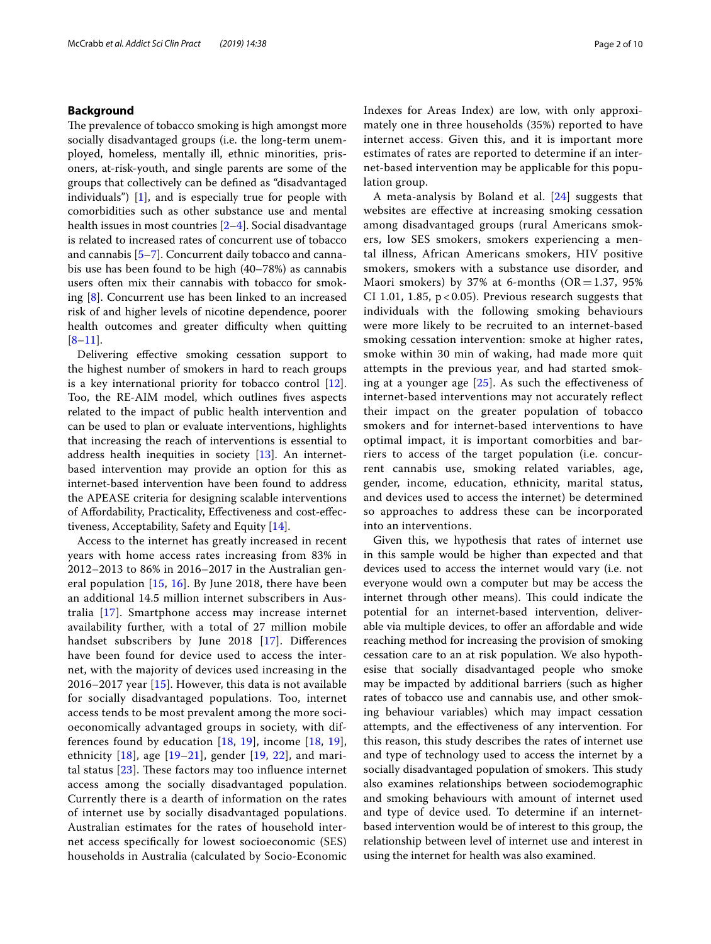#### **Background**

The prevalence of tobacco smoking is high amongst more socially disadvantaged groups (i.e. the long-term unemployed, homeless, mentally ill, ethnic minorities, prisoners, at-risk-youth, and single parents are some of the groups that collectively can be defned as "disadvantaged individuals") [[1\]](#page-8-0), and is especially true for people with comorbidities such as other substance use and mental health issues in most countries [\[2](#page-8-1)[–4](#page-8-2)]. Social disadvantage is related to increased rates of concurrent use of tobacco and cannabis [[5–](#page-8-3)[7](#page-8-4)]. Concurrent daily tobacco and cannabis use has been found to be high (40–78%) as cannabis users often mix their cannabis with tobacco for smoking [[8\]](#page-8-5). Concurrent use has been linked to an increased risk of and higher levels of nicotine dependence, poorer health outcomes and greater difficulty when quitting  $[8-11]$  $[8-11]$ .

Delivering efective smoking cessation support to the highest number of smokers in hard to reach groups is a key international priority for tobacco control [\[12](#page-8-7)]. Too, the RE-AIM model, which outlines fves aspects related to the impact of public health intervention and can be used to plan or evaluate interventions, highlights that increasing the reach of interventions is essential to address health inequities in society [\[13](#page-8-8)]. An internetbased intervention may provide an option for this as internet-based intervention have been found to address the APEASE criteria for designing scalable interventions of Afordability, Practicality, Efectiveness and cost-efectiveness, Acceptability, Safety and Equity [\[14\]](#page-8-9).

Access to the internet has greatly increased in recent years with home access rates increasing from 83% in 2012–2013 to 86% in 2016–2017 in the Australian general population [[15,](#page-8-10) [16](#page-8-11)]. By June 2018, there have been an additional 14.5 million internet subscribers in Australia [[17\]](#page-8-12). Smartphone access may increase internet availability further, with a total of 27 million mobile handset subscribers by June 2018 [[17](#page-8-12)]. Differences have been found for device used to access the internet, with the majority of devices used increasing in the 2016–2017 year [\[15](#page-8-10)]. However, this data is not available for socially disadvantaged populations. Too, internet access tends to be most prevalent among the more socioeconomically advantaged groups in society, with differences found by education [\[18,](#page-9-0) [19\]](#page-9-1), income [[18,](#page-9-0) [19\]](#page-9-1), ethnicity  $[18]$  $[18]$ , age  $[19-21]$  $[19-21]$ , gender  $[19, 22]$  $[19, 22]$  $[19, 22]$  $[19, 22]$ , and marital status  $[23]$  $[23]$  $[23]$ . These factors may too influence internet access among the socially disadvantaged population. Currently there is a dearth of information on the rates of internet use by socially disadvantaged populations. Australian estimates for the rates of household internet access specifcally for lowest socioeconomic (SES) households in Australia (calculated by Socio-Economic Indexes for Areas Index) are low, with only approximately one in three households (35%) reported to have internet access. Given this, and it is important more estimates of rates are reported to determine if an internet-based intervention may be applicable for this population group.

A meta-analysis by Boland et al. [[24\]](#page-9-5) suggests that websites are efective at increasing smoking cessation among disadvantaged groups (rural Americans smokers, low SES smokers, smokers experiencing a mental illness, African Americans smokers, HIV positive smokers, smokers with a substance use disorder, and Maori smokers) by 37% at 6-months ( $OR = 1.37$ , 95% CI 1.01, 1.85,  $p < 0.05$ ). Previous research suggests that individuals with the following smoking behaviours were more likely to be recruited to an internet-based smoking cessation intervention: smoke at higher rates, smoke within 30 min of waking, had made more quit attempts in the previous year, and had started smoking at a younger age  $[25]$  $[25]$ . As such the effectiveness of internet-based interventions may not accurately refect their impact on the greater population of tobacco smokers and for internet-based interventions to have optimal impact, it is important comorbities and barriers to access of the target population (i.e. concurrent cannabis use, smoking related variables, age, gender, income, education, ethnicity, marital status, and devices used to access the internet) be determined so approaches to address these can be incorporated into an interventions.

Given this, we hypothesis that rates of internet use in this sample would be higher than expected and that devices used to access the internet would vary (i.e. not everyone would own a computer but may be access the internet through other means). This could indicate the potential for an internet-based intervention, deliverable via multiple devices, to offer an affordable and wide reaching method for increasing the provision of smoking cessation care to an at risk population. We also hypothesise that socially disadvantaged people who smoke may be impacted by additional barriers (such as higher rates of tobacco use and cannabis use, and other smoking behaviour variables) which may impact cessation attempts, and the efectiveness of any intervention. For this reason, this study describes the rates of internet use and type of technology used to access the internet by a socially disadvantaged population of smokers. This study also examines relationships between sociodemographic and smoking behaviours with amount of internet used and type of device used. To determine if an internetbased intervention would be of interest to this group, the relationship between level of internet use and interest in using the internet for health was also examined.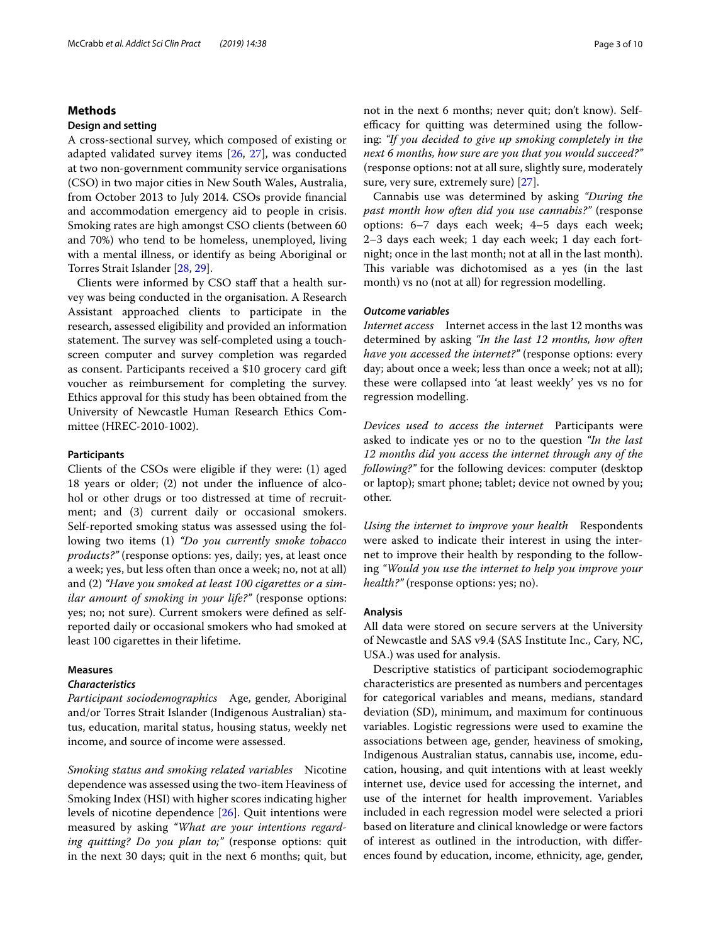#### **Methods**

#### **Design and setting**

A cross-sectional survey, which composed of existing or adapted validated survey items [[26](#page-9-7), [27](#page-9-8)], was conducted at two non-government community service organisations (CSO) in two major cities in New South Wales, Australia, from October 2013 to July 2014. CSOs provide fnancial and accommodation emergency aid to people in crisis. Smoking rates are high amongst CSO clients (between 60 and 70%) who tend to be homeless, unemployed, living with a mental illness, or identify as being Aboriginal or Torres Strait Islander [[28,](#page-9-9) [29\]](#page-9-10).

Clients were informed by CSO staf that a health survey was being conducted in the organisation. A Research Assistant approached clients to participate in the research, assessed eligibility and provided an information statement. The survey was self-completed using a touchscreen computer and survey completion was regarded as consent. Participants received a \$10 grocery card gift voucher as reimbursement for completing the survey. Ethics approval for this study has been obtained from the University of Newcastle Human Research Ethics Committee (HREC-2010-1002).

#### **Participants**

Clients of the CSOs were eligible if they were: (1) aged 18 years or older; (2) not under the infuence of alcohol or other drugs or too distressed at time of recruitment; and (3) current daily or occasional smokers. Self-reported smoking status was assessed using the following two items (1) *"Do you currently smoke tobacco products?"* (response options: yes, daily; yes, at least once a week; yes, but less often than once a week; no, not at all) and (2) *"Have you smoked at least 100 cigarettes or a similar amount of smoking in your life?"* (response options: yes; no; not sure). Current smokers were defned as selfreported daily or occasional smokers who had smoked at least 100 cigarettes in their lifetime.

### **Measures**

#### *Characteristics*

*Participant sociodemographics* Age, gender, Aboriginal and/or Torres Strait Islander (Indigenous Australian) status, education, marital status, housing status, weekly net income, and source of income were assessed.

*Smoking status and smoking related variables* Nicotine dependence was assessed using the two-item Heaviness of Smoking Index (HSI) with higher scores indicating higher levels of nicotine dependence [[26\]](#page-9-7). Quit intentions were measured by asking *"What are your intentions regarding quitting? Do you plan to;"* (response options: quit in the next 30 days; quit in the next 6 months; quit, but not in the next 6 months; never quit; don't know). Selfefficacy for quitting was determined using the following: *"If you decided to give up smoking completely in the next 6 months, how sure are you that you would succeed?"* (response options: not at all sure, slightly sure, moderately sure, very sure, extremely sure) [[27](#page-9-8)].

Cannabis use was determined by asking *"During the past month how often did you use cannabis?"* (response options: 6–7 days each week; 4–5 days each week; 2–3 days each week; 1 day each week; 1 day each fortnight; once in the last month; not at all in the last month). This variable was dichotomised as a yes (in the last month) vs no (not at all) for regression modelling.

#### *Outcome variables*

*Internet access* Internet access in the last 12 months was determined by asking *"In the last 12 months, how often have you accessed the internet?"* (response options: every day; about once a week; less than once a week; not at all); these were collapsed into 'at least weekly' yes vs no for regression modelling.

*Devices used to access the internet* Participants were asked to indicate yes or no to the question *"In the last 12 months did you access the internet through any of the following?"* for the following devices: computer (desktop or laptop); smart phone; tablet; device not owned by you; other.

*Using the internet to improve your health* Respondents were asked to indicate their interest in using the internet to improve their health by responding to the following *"Would you use the internet to help you improve your health?"* (response options: yes; no).

#### **Analysis**

All data were stored on secure servers at the University of Newcastle and SAS v9.4 (SAS Institute Inc., Cary, NC, USA.) was used for analysis.

Descriptive statistics of participant sociodemographic characteristics are presented as numbers and percentages for categorical variables and means, medians, standard deviation (SD), minimum, and maximum for continuous variables. Logistic regressions were used to examine the associations between age, gender, heaviness of smoking, Indigenous Australian status, cannabis use, income, education, housing, and quit intentions with at least weekly internet use, device used for accessing the internet, and use of the internet for health improvement. Variables included in each regression model were selected a priori based on literature and clinical knowledge or were factors of interest as outlined in the introduction, with diferences found by education, income, ethnicity, age, gender,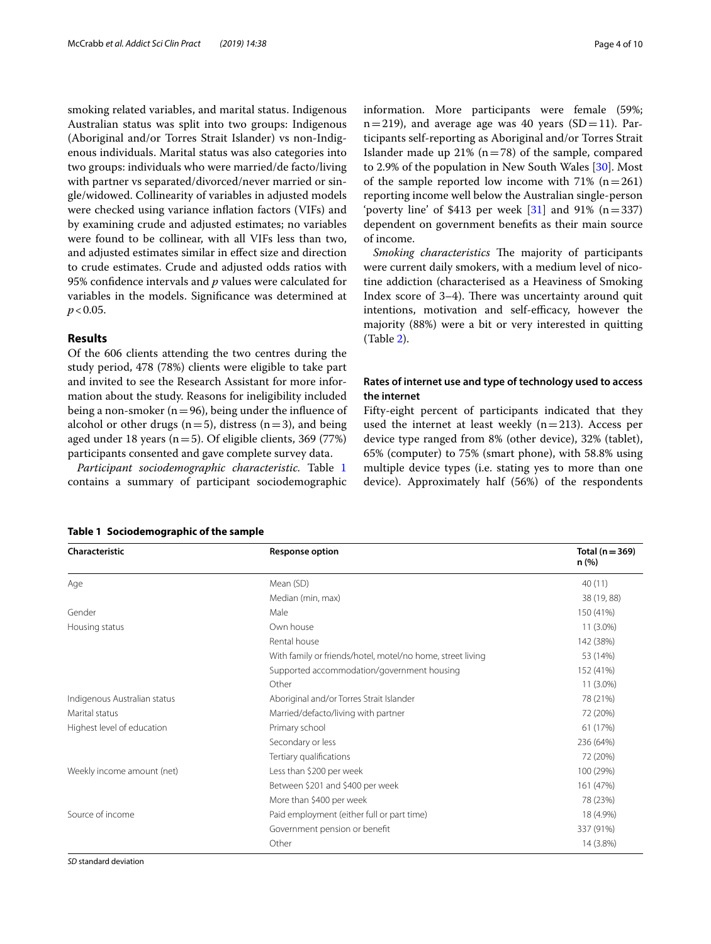smoking related variables, and marital status. Indigenous Australian status was split into two groups: Indigenous (Aboriginal and/or Torres Strait Islander) vs non-Indigenous individuals. Marital status was also categories into two groups: individuals who were married/de facto/living with partner vs separated/divorced/never married or single/widowed. Collinearity of variables in adjusted models were checked using variance infation factors (VIFs) and by examining crude and adjusted estimates; no variables were found to be collinear, with all VIFs less than two, and adjusted estimates similar in efect size and direction to crude estimates. Crude and adjusted odds ratios with 95% confdence intervals and *p* values were calculated for variables in the models. Signifcance was determined at  $p < 0.05$ .

#### **Results**

Of the 606 clients attending the two centres during the study period, 478 (78%) clients were eligible to take part and invited to see the Research Assistant for more information about the study. Reasons for ineligibility included being a non-smoker ( $n=96$ ), being under the influence of alcohol or other drugs ( $n=5$ ), distress ( $n=3$ ), and being aged under 18 years ( $n=5$ ). Of eligible clients, 369 (77%) participants consented and gave complete survey data.

*Participant sociodemographic characteristic.* Table [1](#page-3-0) contains a summary of participant sociodemographic information. More participants were female (59%;  $n=219$ ), and average age was 40 years (SD=11). Participants self-reporting as Aboriginal and/or Torres Strait Islander made up 21% ( $n=78$ ) of the sample, compared to 2.9% of the population in New South Wales [\[30](#page-9-11)]. Most of the sample reported low income with  $71\%$  (n=261) reporting income well below the Australian single-person 'poverty line' of \$413 per week  $[31]$  $[31]$  and 91% (n=337) dependent on government benefts as their main source of income.

*Smoking characteristics* The majority of participants were current daily smokers, with a medium level of nicotine addiction (characterised as a Heaviness of Smoking Index score of  $3-4$ ). There was uncertainty around quit intentions, motivation and self-efficacy, however the majority (88%) were a bit or very interested in quitting (Table [2\)](#page-4-0).

#### **Rates of internet use and type of technology used to access the internet**

Fifty-eight percent of participants indicated that they used the internet at least weekly  $(n=213)$ . Access per device type ranged from 8% (other device), 32% (tablet), 65% (computer) to 75% (smart phone), with 58.8% using multiple device types (i.e. stating yes to more than one device). Approximately half (56%) of the respondents

| Characteristic               | Response option                                            | Total ( $n = 369$ )<br>n (%) |
|------------------------------|------------------------------------------------------------|------------------------------|
| Age                          | Mean (SD)                                                  | 40(11)                       |
|                              | Median (min, max)                                          | 38 (19, 88)                  |
| Gender                       | Male                                                       | 150 (41%)                    |
| Housing status               | Own house                                                  | $11(3.0\%)$                  |
|                              | Rental house                                               | 142 (38%)                    |
|                              | With family or friends/hotel, motel/no home, street living | 53 (14%)                     |
|                              | Supported accommodation/government housing                 | 152 (41%)                    |
|                              | Other                                                      | $11(3.0\%)$                  |
| Indigenous Australian status | Aboriginal and/or Torres Strait Islander                   | 78 (21%)                     |
| Marital status               | Married/defacto/living with partner                        | 72 (20%)                     |
| Highest level of education   | Primary school                                             | 61 (17%)                     |
|                              | Secondary or less                                          | 236 (64%)                    |
|                              | Tertiary qualifications                                    | 72 (20%)                     |
| Weekly income amount (net)   | Less than \$200 per week                                   | 100 (29%)                    |
|                              | Between \$201 and \$400 per week                           | 161 (47%)                    |
|                              | More than \$400 per week                                   | 78 (23%)                     |
| Source of income             | Paid employment (either full or part time)                 | 18 (4.9%)                    |
|                              | Government pension or benefit                              | 337 (91%)                    |
|                              | Other                                                      | 14 (3.8%)                    |

<span id="page-3-0"></span>**Table 1 Sociodemographic of the sample**

*SD* standard deviation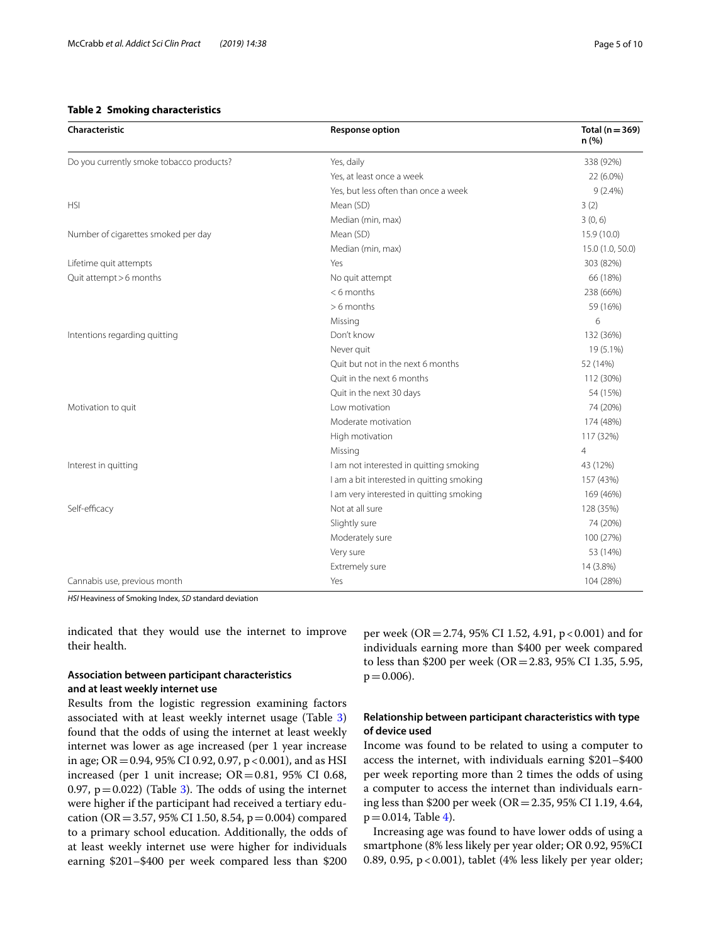#### <span id="page-4-0"></span>**Table 2 Smoking characteristics**

| <b>Characteristic</b>                    | <b>Response option</b>                    | Total ( $n = 369$ )<br>n(%) |
|------------------------------------------|-------------------------------------------|-----------------------------|
| Do you currently smoke tobacco products? | Yes, daily                                | 338 (92%)                   |
|                                          | Yes, at least once a week                 | 22 (6.0%)                   |
|                                          | Yes, but less often than once a week      | $9(2.4\%)$                  |
| <b>HSI</b>                               | Mean (SD)                                 | 3(2)                        |
|                                          | Median (min, max)                         | 3(0, 6)                     |
| Number of cigarettes smoked per day      | Mean (SD)                                 | 15.9 (10.0)                 |
|                                          | Median (min, max)                         | 15.0 (1.0, 50.0)            |
| Lifetime quit attempts                   | Yes                                       | 303 (82%)                   |
| Quit attempt > 6 months                  | No quit attempt                           | 66 (18%)                    |
|                                          | $< 6$ months                              | 238 (66%)                   |
|                                          | $> 6$ months                              | 59 (16%)                    |
|                                          | Missing                                   | 6                           |
| Intentions regarding quitting            | Don't know                                | 132 (36%)                   |
|                                          | Never quit                                | 19 (5.1%)                   |
|                                          | Quit but not in the next 6 months         | 52 (14%)                    |
|                                          | Quit in the next 6 months                 | 112 (30%)                   |
|                                          | Quit in the next 30 days                  | 54 (15%)                    |
| Motivation to quit                       | Low motivation                            | 74 (20%)                    |
|                                          | Moderate motivation                       | 174 (48%)                   |
|                                          | High motivation                           | 117 (32%)                   |
|                                          | Missing                                   | $\overline{4}$              |
| Interest in quitting                     | I am not interested in quitting smoking   | 43 (12%)                    |
|                                          | I am a bit interested in quitting smoking | 157 (43%)                   |
|                                          | I am very interested in quitting smoking  | 169 (46%)                   |
| Self-efficacy                            | Not at all sure                           | 128 (35%)                   |
|                                          | Slightly sure                             | 74 (20%)                    |
|                                          | Moderately sure                           | 100 (27%)                   |
|                                          | Very sure                                 | 53 (14%)                    |
|                                          | Extremely sure                            | 14 (3.8%)                   |
| Cannabis use, previous month             | Yes                                       | 104 (28%)                   |

*HSI* Heaviness of Smoking Index, *SD* standard deviation

indicated that they would use the internet to improve their health.

#### **Association between participant characteristics and at least weekly internet use**

Results from the logistic regression examining factors associated with at least weekly internet usage (Table [3](#page-5-0)) found that the odds of using the internet at least weekly internet was lower as age increased (per 1 year increase in age;  $OR = 0.94$ , 95% CI 0.92, 0.97, p < 0.001), and as HSI increased (per 1 unit increase; OR=0.81, 95% CI 0.68, 0.97,  $p = 0.022$ ) (Table [3](#page-5-0)). The odds of using the internet were higher if the participant had received a tertiary education (OR = 3.57, 95% CI 1.50, 8.54,  $p = 0.004$ ) compared to a primary school education. Additionally, the odds of at least weekly internet use were higher for individuals earning \$201–\$400 per week compared less than \$200 per week (OR = 2.74, 95% CI 1.52, 4.91, p < 0.001) and for individuals earning more than \$400 per week compared to less than \$200 per week (OR=2.83, 95% CI 1.35, 5.95,  $p = 0.006$ ).

#### **Relationship between participant characteristics with type of device used**

Income was found to be related to using a computer to access the internet, with individuals earning \$201–\$400 per week reporting more than 2 times the odds of using a computer to access the internet than individuals earning less than \$200 per week (OR=2.35, 95% CI 1.19, 4.64,  $p = 0.014$ , Table [4\)](#page-6-0).

Increasing age was found to have lower odds of using a smartphone (8% less likely per year older; OR 0.92, 95%CI 0.89, 0.95,  $p < 0.001$ ), tablet (4% less likely per year older;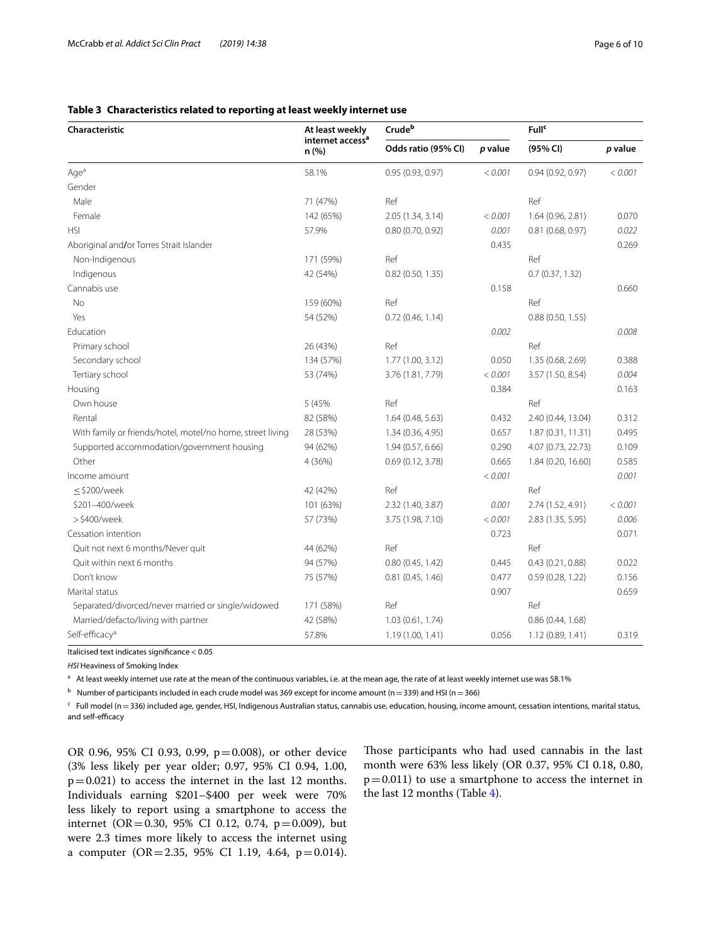| Characteristic                                             | At least weekly<br>internet access <sup>a</sup><br>n(% ) | Crudeb              |         | <b>Full</b> <sup>c</sup> |         |
|------------------------------------------------------------|----------------------------------------------------------|---------------------|---------|--------------------------|---------|
|                                                            |                                                          | Odds ratio (95% CI) | p value | (95% CI)                 | p value |
| Age <sup>a</sup>                                           | 58.1%                                                    | 0.95(0.93, 0.97)    | < 0.001 | 0.94(0.92, 0.97)         | < 0.001 |
| Gender                                                     |                                                          |                     |         |                          |         |
| Male                                                       | 71 (47%)                                                 | Ref                 |         | Ref                      |         |
| Female                                                     | 142 (65%)                                                | 2.05 (1.34, 3.14)   | < 0.001 | 1.64 (0.96, 2.81)        | 0.070   |
| <b>HSI</b>                                                 | 57.9%                                                    | 0.80(0.70, 0.92)    | 0.001   | 0.81(0.68, 0.97)         | 0.022   |
| Aboriginal and/or Torres Strait Islander                   |                                                          |                     | 0.435   |                          | 0.269   |
| Non-Indigenous                                             | 171 (59%)                                                | Ref                 |         | Ref                      |         |
| Indigenous                                                 | 42 (54%)                                                 | 0.82(0.50, 1.35)    |         | 0.7(0.37, 1.32)          |         |
| Cannabis use                                               |                                                          |                     | 0.158   |                          | 0.660   |
| <b>No</b>                                                  | 159 (60%)                                                | Ref                 |         | Ref                      |         |
| Yes                                                        | 54 (52%)                                                 | 0.72(0.46, 1.14)    |         | 0.88(0.50, 1.55)         |         |
| Education                                                  |                                                          |                     | 0.002   |                          | 0.008   |
| Primary school                                             | 26 (43%)                                                 | Ref                 |         | Ref                      |         |
| Secondary school                                           | 134 (57%)                                                | 1.77 (1.00, 3.12)   | 0.050   | 1.35 (0.68, 2.69)        | 0.388   |
| Tertiary school                                            | 53 (74%)                                                 | 3.76 (1.81, 7.79)   | < 0.001 | 3.57 (1.50, 8.54)        | 0.004   |
| Housing                                                    |                                                          |                     | 0.384   |                          | 0.163   |
| Own house                                                  | 5 (45%                                                   | Ref                 |         | Ref                      |         |
| Rental                                                     | 82 (58%)                                                 | 1.64(0.48, 5.63)    | 0.432   | 2.40 (0.44, 13.04)       | 0.312   |
| With family or friends/hotel, motel/no home, street living | 28 (53%)                                                 | 1.34(0.36, 4.95)    | 0.657   | 1.87(0.31, 11.31)        | 0.495   |
| Supported accommodation/government housing                 | 94 (62%)                                                 | 1.94 (0.57, 6.66)   | 0.290   | 4.07 (0.73, 22.73)       | 0.109   |
| Other                                                      | 4 (36%)                                                  | 0.69(0.12, 3.78)    | 0.665   | 1.84 (0.20, 16.60)       | 0.585   |
| Income amount                                              |                                                          |                     | < 0.001 |                          | 0.001   |
| $\leq$ \$200/week                                          | 42 (42%)                                                 | Ref                 |         | Ref                      |         |
| \$201-400/week                                             | 101 (63%)                                                | 2.32 (1.40, 3.87)   | 0.001   | 2.74 (1.52, 4.91)        | < 0.001 |
| >\$400/week                                                | 57 (73%)                                                 | 3.75 (1.98, 7.10)   | < 0.001 | 2.83 (1.35, 5.95)        | 0.006   |
| Cessation intention                                        |                                                          |                     | 0.723   |                          | 0.071   |
| Quit not next 6 months/Never quit                          | 44 (62%)                                                 | Ref                 |         | Ref                      |         |
| Quit within next 6 months                                  | 94 (57%)                                                 | 0.80(0.45, 1.42)    | 0.445   | 0.43(0.21, 0.88)         | 0.022   |
| Don't know                                                 | 75 (57%)                                                 | 0.81(0.45, 1.46)    | 0.477   | 0.59(0.28, 1.22)         | 0.156   |
| Marital status                                             |                                                          |                     | 0.907   |                          | 0.659   |
| Separated/divorced/never married or single/widowed         | 171 (58%)                                                | Ref                 |         | Ref                      |         |
| Married/defacto/living with partner                        | 42 (58%)                                                 | 1.03(0.61, 1.74)    |         | 0.86(0.44, 1.68)         |         |
| Self-efficacy <sup>a</sup>                                 | 57.8%                                                    | 1.19(1.00, 1.41)    | 0.056   | 1.12 (0.89, 1.41)        | 0.319   |

### <span id="page-5-0"></span>**Table 3 Characteristics related to reporting at least weekly internet use**

Italicised text indicates signifcance < 0.05

*HSI* Heaviness of Smoking Index

<sup>a</sup> At least weekly internet use rate at the mean of the continuous variables, i.e. at the mean age, the rate of at least weekly internet use was 58.1%

<sup>b</sup> Number of participants included in each crude model was 369 except for income amount (n=339) and HSI (n=366)

c Full model (n=336) included age, gender, HSI, Indigenous Australian status, cannabis use, education, housing, income amount, cessation intentions, marital status, and self-efficacy

OR 0.96, 95% CI 0.93, 0.99, p=0.008), or other device (3% less likely per year older; 0.97, 95% CI 0.94, 1.00,  $p=0.021$ ) to access the internet in the last 12 months. Individuals earning \$201–\$400 per week were 70% less likely to report using a smartphone to access the internet (OR=0.30, 95% CI 0.12, 0.74,  $p=0.009$ ), but were 2.3 times more likely to access the internet using a computer (OR=2.35, 95% CI 1.19, 4.64, p=0.014). Those participants who had used cannabis in the last month were 63% less likely (OR 0.37, 95% CI 0.18, 0.80,  $p=0.011$ ) to use a smartphone to access the internet in the last 12 months (Table [4\)](#page-6-0).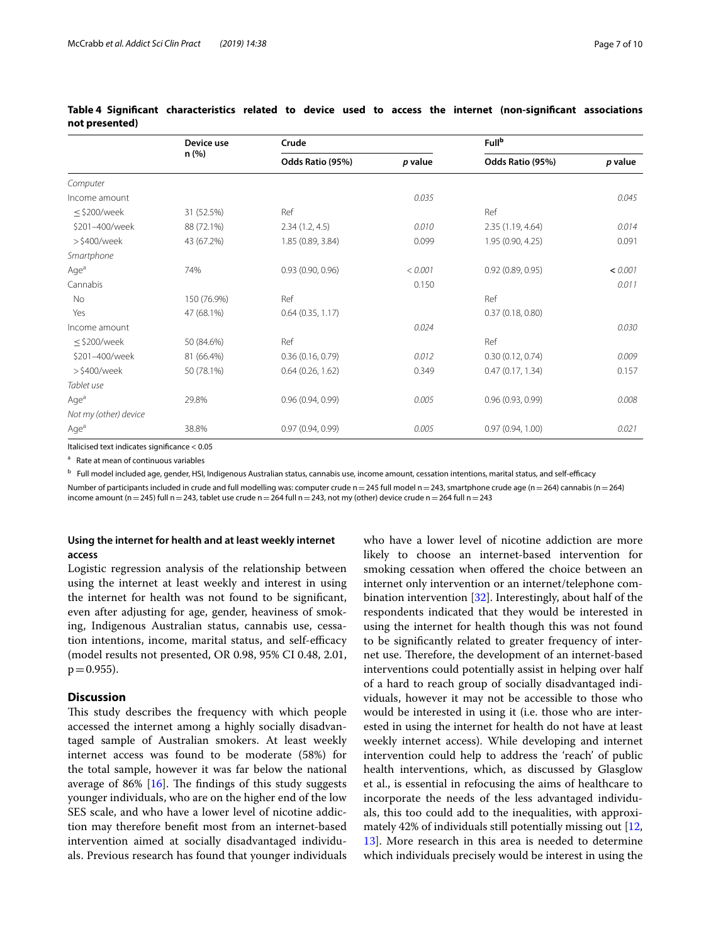|                       | Device use<br>n (%) | Crude             |         | <b>Fullb</b>      |         |  |
|-----------------------|---------------------|-------------------|---------|-------------------|---------|--|
|                       |                     | Odds Ratio (95%)  | p value | Odds Ratio (95%)  | p value |  |
| Computer              |                     |                   |         |                   |         |  |
| Income amount         |                     |                   | 0.035   |                   | 0.045   |  |
| $\leq$ \$200/week     | 31 (52.5%)          | Ref               |         | Ref               |         |  |
| \$201-400/week        | 88 (72.1%)          | 2.34(1.2, 4.5)    | 0.010   | 2.35 (1.19, 4.64) | 0.014   |  |
| >\$400/week           | 43 (67.2%)          | 1.85 (0.89, 3.84) | 0.099   | 1.95 (0.90, 4.25) | 0.091   |  |
| Smartphone            |                     |                   |         |                   |         |  |
| Age <sup>a</sup>      | 74%                 | 0.93(0.90, 0.96)  | < 0.001 | 0.92(0.89, 0.95)  | < 0.001 |  |
| Cannabis              |                     |                   | 0.150   |                   | 0.011   |  |
| No                    | 150 (76.9%)         | Ref               |         | Ref               |         |  |
| Yes                   | 47 (68.1%)          | 0.64(0.35, 1.17)  |         | 0.37(0.18, 0.80)  |         |  |
| Income amount         |                     |                   | 0.024   |                   | 0.030   |  |
| $\leq$ \$200/week     | 50 (84.6%)          | Ref               |         | Ref               |         |  |
| \$201-400/week        | 81 (66.4%)          | 0.36(0.16, 0.79)  | 0.012   | 0.30(0.12, 0.74)  | 0.009   |  |
| >\$400/week           | 50 (78.1%)          | 0.64(0.26, 1.62)  | 0.349   | 0.47(0.17, 1.34)  | 0.157   |  |
| Tablet use            |                     |                   |         |                   |         |  |
| Age <sup>a</sup>      | 29.8%               | 0.96(0.94, 0.99)  | 0.005   | 0.96(0.93, 0.99)  | 0.008   |  |
| Not my (other) device |                     |                   |         |                   |         |  |
| Age <sup>a</sup>      | 38.8%               | 0.97(0.94, 0.99)  | 0.005   | 0.97(0.94, 1.00)  | 0.021   |  |

#### <span id="page-6-0"></span>**Table 4 Signifcant characteristics related to device used to access the internet (non-signifcant associations not presented)**

Italicised text indicates signifcance < 0.05

a Rate at mean of continuous variables

<sup>b</sup> Full model included age, gender, HSI, Indigenous Australian status, cannabis use, income amount, cessation intentions, marital status, and self-efficacy

Number of participants included in crude and full modelling was: computer crude n=245 full model n=243, smartphone crude age (n=264) cannabis (n=264) income amount (n = 245) full n = 243, tablet use crude n = 264 full n = 243, not my (other) device crude n = 264 full n = 243

#### **Using the internet for health and at least weekly internet access**

Logistic regression analysis of the relationship between using the internet at least weekly and interest in using the internet for health was not found to be signifcant, even after adjusting for age, gender, heaviness of smoking, Indigenous Australian status, cannabis use, cessation intentions, income, marital status, and self-efficacy (model results not presented, OR 0.98, 95% CI 0.48, 2.01,  $p = 0.955$ ).

#### **Discussion**

This study describes the frequency with which people accessed the internet among a highly socially disadvantaged sample of Australian smokers. At least weekly internet access was found to be moderate (58%) for the total sample, however it was far below the national average of 86%  $[16]$  $[16]$ . The findings of this study suggests younger individuals, who are on the higher end of the low SES scale, and who have a lower level of nicotine addiction may therefore beneft most from an internet-based intervention aimed at socially disadvantaged individuals. Previous research has found that younger individuals who have a lower level of nicotine addiction are more likely to choose an internet-based intervention for smoking cessation when offered the choice between an internet only intervention or an internet/telephone combination intervention [[32](#page-9-13)]. Interestingly, about half of the respondents indicated that they would be interested in using the internet for health though this was not found to be signifcantly related to greater frequency of internet use. Therefore, the development of an internet-based interventions could potentially assist in helping over half of a hard to reach group of socially disadvantaged individuals, however it may not be accessible to those who would be interested in using it (i.e. those who are interested in using the internet for health do not have at least weekly internet access). While developing and internet intervention could help to address the 'reach' of public health interventions, which, as discussed by Glasglow et al., is essential in refocusing the aims of healthcare to incorporate the needs of the less advantaged individuals, this too could add to the inequalities, with approximately 42% of individuals still potentially missing out  $[12, 12]$  $[12, 12]$  $[12, 12]$ [13\]](#page-8-8). More research in this area is needed to determine which individuals precisely would be interest in using the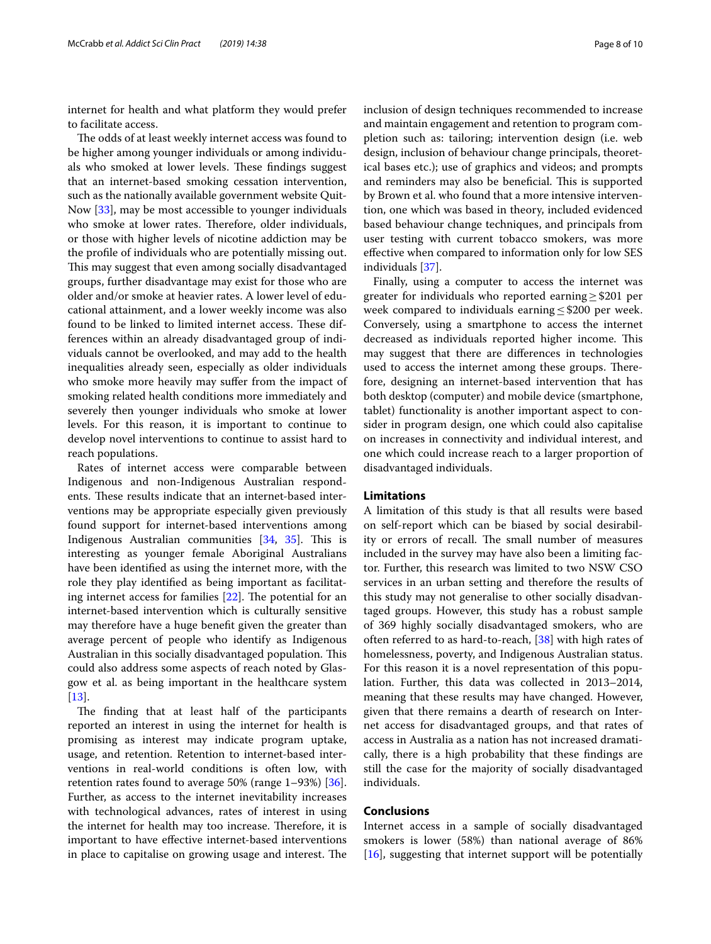internet for health and what platform they would prefer to facilitate access.

The odds of at least weekly internet access was found to be higher among younger individuals or among individuals who smoked at lower levels. These findings suggest that an internet-based smoking cessation intervention, such as the nationally available government website Quit-Now [\[33](#page-9-14)], may be most accessible to younger individuals who smoke at lower rates. Therefore, older individuals, or those with higher levels of nicotine addiction may be the profle of individuals who are potentially missing out. This may suggest that even among socially disadvantaged groups, further disadvantage may exist for those who are older and/or smoke at heavier rates. A lower level of educational attainment, and a lower weekly income was also found to be linked to limited internet access. These differences within an already disadvantaged group of individuals cannot be overlooked, and may add to the health inequalities already seen, especially as older individuals who smoke more heavily may suffer from the impact of smoking related health conditions more immediately and severely then younger individuals who smoke at lower levels. For this reason, it is important to continue to develop novel interventions to continue to assist hard to reach populations.

Rates of internet access were comparable between Indigenous and non-Indigenous Australian respondents. These results indicate that an internet-based interventions may be appropriate especially given previously found support for internet-based interventions among Indigenous Australian communities [\[34](#page-9-15), [35\]](#page-9-16). This is interesting as younger female Aboriginal Australians have been identifed as using the internet more, with the role they play identifed as being important as facilitating internet access for families  $[22]$  $[22]$  $[22]$ . The potential for an internet-based intervention which is culturally sensitive may therefore have a huge beneft given the greater than average percent of people who identify as Indigenous Australian in this socially disadvantaged population. This could also address some aspects of reach noted by Glasgow et al. as being important in the healthcare system [[13\]](#page-8-8).

The finding that at least half of the participants reported an interest in using the internet for health is promising as interest may indicate program uptake, usage, and retention. Retention to internet-based interventions in real-world conditions is often low, with retention rates found to average  $50\%$  (range  $1-93\%$ ) [ $36$ ]. Further, as access to the internet inevitability increases with technological advances, rates of interest in using the internet for health may too increase. Therefore, it is important to have efective internet-based interventions in place to capitalise on growing usage and interest. The inclusion of design techniques recommended to increase and maintain engagement and retention to program completion such as: tailoring; intervention design (i.e. web design, inclusion of behaviour change principals, theoretical bases etc.); use of graphics and videos; and prompts and reminders may also be beneficial. This is supported by Brown et al. who found that a more intensive intervention, one which was based in theory, included evidenced based behaviour change techniques, and principals from user testing with current tobacco smokers, was more efective when compared to information only for low SES individuals [\[37\]](#page-9-18).

Finally, using a computer to access the internet was greater for individuals who reported earning≥\$201 per week compared to individuals earning≤\$200 per week. Conversely, using a smartphone to access the internet decreased as individuals reported higher income. This may suggest that there are diferences in technologies used to access the internet among these groups. Therefore, designing an internet-based intervention that has both desktop (computer) and mobile device (smartphone, tablet) functionality is another important aspect to consider in program design, one which could also capitalise on increases in connectivity and individual interest, and one which could increase reach to a larger proportion of disadvantaged individuals.

#### **Limitations**

A limitation of this study is that all results were based on self-report which can be biased by social desirability or errors of recall. The small number of measures included in the survey may have also been a limiting factor. Further, this research was limited to two NSW CSO services in an urban setting and therefore the results of this study may not generalise to other socially disadvantaged groups. However, this study has a robust sample of 369 highly socially disadvantaged smokers, who are often referred to as hard-to-reach,  $[38]$  with high rates of homelessness, poverty, and Indigenous Australian status. For this reason it is a novel representation of this population. Further, this data was collected in 2013–2014, meaning that these results may have changed. However, given that there remains a dearth of research on Internet access for disadvantaged groups, and that rates of access in Australia as a nation has not increased dramatically, there is a high probability that these fndings are still the case for the majority of socially disadvantaged individuals.

#### **Conclusions**

Internet access in a sample of socially disadvantaged smokers is lower (58%) than national average of 86% [[16\]](#page-8-11), suggesting that internet support will be potentially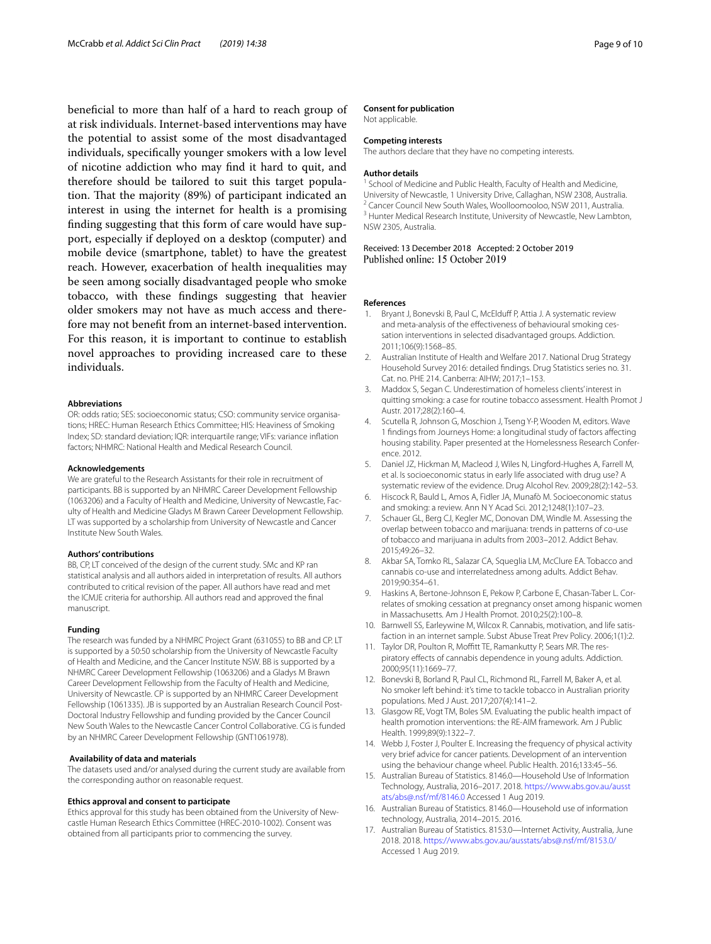benefcial to more than half of a hard to reach group of at risk individuals. Internet-based interventions may have the potential to assist some of the most disadvantaged individuals, specifcally younger smokers with a low level of nicotine addiction who may fnd it hard to quit, and therefore should be tailored to suit this target population. That the majority (89%) of participant indicated an interest in using the internet for health is a promising fnding suggesting that this form of care would have support, especially if deployed on a desktop (computer) and mobile device (smartphone, tablet) to have the greatest reach. However, exacerbation of health inequalities may be seen among socially disadvantaged people who smoke tobacco, with these fndings suggesting that heavier older smokers may not have as much access and therefore may not beneft from an internet-based intervention. For this reason, it is important to continue to establish novel approaches to providing increased care to these individuals.

#### **Abbreviations**

OR: odds ratio; SES: socioeconomic status; CSO: community service organisations; HREC: Human Research Ethics Committee; HIS: Heaviness of Smoking Index; SD: standard deviation; IQR: interquartile range; VIFs: variance infation factors; NHMRC: National Health and Medical Research Council.

#### **Acknowledgements**

We are grateful to the Research Assistants for their role in recruitment of participants. BB is supported by an NHMRC Career Development Fellowship (1063206) and a Faculty of Health and Medicine, University of Newcastle, Faculty of Health and Medicine Gladys M Brawn Career Development Fellowship. LT was supported by a scholarship from University of Newcastle and Cancer Institute New South Wales.

#### **Authors' contributions**

BB, CP, LT conceived of the design of the current study. SMc and KP ran statistical analysis and all authors aided in interpretation of results. All authors contributed to critical revision of the paper. All authors have read and met the ICMJE criteria for authorship. All authors read and approved the fnal manuscript.

#### **Funding**

The research was funded by a NHMRC Project Grant (631055) to BB and CP. LT is supported by a 50:50 scholarship from the University of Newcastle Faculty of Health and Medicine, and the Cancer Institute NSW. BB is supported by a NHMRC Career Development Fellowship (1063206) and a Gladys M Brawn Career Development Fellowship from the Faculty of Health and Medicine, University of Newcastle. CP is supported by an NHMRC Career Development Fellowship (1061335). JB is supported by an Australian Research Council Post-Doctoral Industry Fellowship and funding provided by the Cancer Council New South Wales to the Newcastle Cancer Control Collaborative. CG is funded by an NHMRC Career Development Fellowship (GNT1061978).

#### **Availability of data and materials**

The datasets used and/or analysed during the current study are available from the corresponding author on reasonable request.

#### **Ethics approval and consent to participate**

Ethics approval for this study has been obtained from the University of Newcastle Human Research Ethics Committee (HREC-2010-1002). Consent was obtained from all participants prior to commencing the survey.

#### **Consent for publication**

Not applicable.

#### **Competing interests**

The authors declare that they have no competing interests.

#### **Author details**

<sup>1</sup> School of Medicine and Public Health, Faculty of Health and Medicine, University of Newcastle, 1 University Drive, Callaghan, NSW 2308, Australia.<br><sup>2</sup> Cancer Council New South Wales, Woolloomooloo, NSW 2011, Australia. <sup>3</sup> Hunter Medical Research Institute, University of Newcastle, New Lambton, NSW 2305, Australia.

# Received: 13 December 2018 Accepted: 2 October 2019

#### **References**

- <span id="page-8-0"></span>Bryant J, Bonevski B, Paul C, McElduff P, Attia J. A systematic review and meta-analysis of the effectiveness of behavioural smoking cessation interventions in selected disadvantaged groups. Addiction. 2011;106(9):1568–85.
- <span id="page-8-1"></span>2. Australian Institute of Health and Welfare 2017. National Drug Strategy Household Survey 2016: detailed fndings. Drug Statistics series no. 31. Cat. no. PHE 214. Canberra: AIHW; 2017;1–153.
- 3. Maddox S, Segan C. Underestimation of homeless clients' interest in quitting smoking: a case for routine tobacco assessment. Health Promot J Austr. 2017;28(2):160–4.
- <span id="page-8-2"></span>4. Scutella R, Johnson G, Moschion J, Tseng Y-P, Wooden M, editors. Wave 1 fndings from Journeys Home: a longitudinal study of factors afecting housing stability. Paper presented at the Homelessness Research Conference. 2012.
- <span id="page-8-3"></span>5. Daniel JZ, Hickman M, Macleod J, Wiles N, Lingford-Hughes A, Farrell M, et al. Is socioeconomic status in early life associated with drug use? A systematic review of the evidence. Drug Alcohol Rev. 2009;28(2):142–53.
- 6. Hiscock R, Bauld L, Amos A, Fidler JA, Munafò M. Socioeconomic status and smoking: a review. Ann N Y Acad Sci. 2012;1248(1):107–23.
- <span id="page-8-4"></span>7. Schauer GL, Berg CJ, Kegler MC, Donovan DM, Windle M. Assessing the overlap between tobacco and marijuana: trends in patterns of co-use of tobacco and marijuana in adults from 2003–2012. Addict Behav. 2015;49:26–32.
- <span id="page-8-5"></span>8. Akbar SA, Tomko RL, Salazar CA, Squeglia LM, McClure EA, Tobacco and cannabis co-use and interrelatedness among adults. Addict Behav. 2019;90:354–61.
- 9. Haskins A, Bertone-Johnson E, Pekow P, Carbone E, Chasan-Taber L. Correlates of smoking cessation at pregnancy onset among hispanic women in Massachusetts. Am J Health Promot. 2010;25(2):100–8.
- 10. Barnwell SS, Earleywine M, Wilcox R. Cannabis, motivation, and life satisfaction in an internet sample. Subst Abuse Treat Prev Policy. 2006;1(1):2.
- <span id="page-8-6"></span>11. Taylor DR, Poulton R, Moffitt TE, Ramankutty P, Sears MR. The res piratory efects of cannabis dependence in young adults. Addiction. 2000;95(11):1669–77.
- <span id="page-8-7"></span>12. Bonevski B, Borland R, Paul CL, Richmond RL, Farrell M, Baker A, et al. No smoker left behind: it's time to tackle tobacco in Australian priority populations. Med J Aust. 2017;207(4):141–2.
- <span id="page-8-8"></span>13. Glasgow RE, Vogt TM, Boles SM. Evaluating the public health impact of health promotion interventions: the RE-AIM framework. Am J Public Health. 1999;89(9):1322–7.
- <span id="page-8-9"></span>14. Webb J, Foster J, Poulter E. Increasing the frequency of physical activity very brief advice for cancer patients. Development of an intervention using the behaviour change wheel. Public Health. 2016;133:45–56.
- <span id="page-8-10"></span>15. Australian Bureau of Statistics. 8146.0—Household Use of Information Technology, Australia, 2016–2017. 2018. [https://www.abs.gov.au/ausst](https://www.abs.gov.au/ausstats/abs%40.nsf/mf/8146.0) [ats/abs@.nsf/mf/8146.0](https://www.abs.gov.au/ausstats/abs%40.nsf/mf/8146.0) Accessed 1 Aug 2019.
- <span id="page-8-11"></span>16. Australian Bureau of Statistics. 8146.0—Household use of information technology, Australia, 2014–2015. 2016.
- <span id="page-8-12"></span>17. Australian Bureau of Statistics. 8153.0—Internet Activity, Australia, June 2018. 2018. [https://www.abs.gov.au/ausstats/abs@.nsf/mf/8153.0/](https://www.abs.gov.au/ausstats/abs%40.nsf/mf/8153.0/) Accessed 1 Aug 2019.